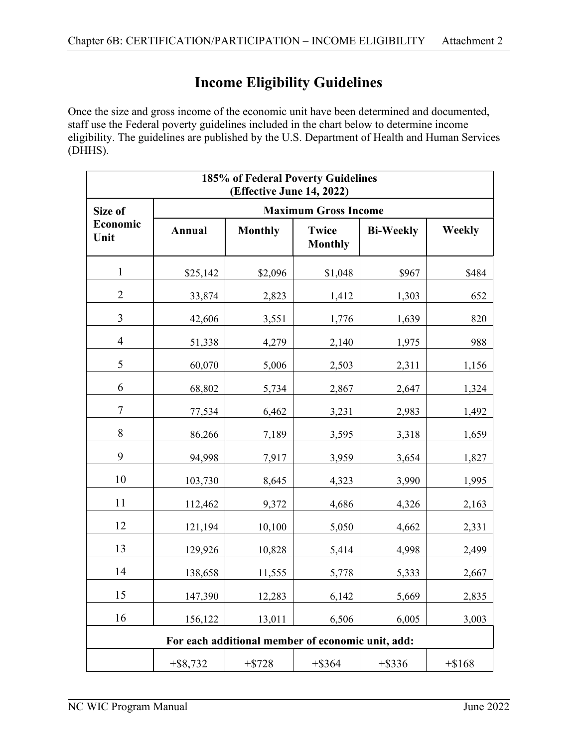## **Income Eligibility Guidelines**

Once the size and gross income of the economic unit have been determined and documented, staff use the Federal poverty guidelines included in the chart below to determine income eligibility. The guidelines are published by the U.S. Department of Health and Human Services (DHHS).

| 185% of Federal Poverty Guidelines<br>(Effective June 14, 2022) |                             |                |                                |                  |               |
|-----------------------------------------------------------------|-----------------------------|----------------|--------------------------------|------------------|---------------|
| Size of                                                         | <b>Maximum Gross Income</b> |                |                                |                  |               |
| Economic<br>Unit                                                | Annual                      | <b>Monthly</b> | <b>Twice</b><br><b>Monthly</b> | <b>Bi-Weekly</b> | <b>Weekly</b> |
| $\mathbf{1}$                                                    | \$25,142                    | \$2,096        | \$1,048                        | \$967            | \$484         |
| $\overline{2}$                                                  | 33,874                      | 2,823          | 1,412                          | 1,303            | 652           |
| 3                                                               | 42,606                      | 3,551          | 1,776                          | 1,639            | 820           |
| $\overline{4}$                                                  | 51,338                      | 4,279          | 2,140                          | 1,975            | 988           |
| 5                                                               | 60,070                      | 5,006          | 2,503                          | 2,311            | 1,156         |
| 6                                                               | 68,802                      | 5,734          | 2,867                          | 2,647            | 1,324         |
| 7                                                               | 77,534                      | 6,462          | 3,231                          | 2,983            | 1,492         |
| 8                                                               | 86,266                      | 7,189          | 3,595                          | 3,318            | 1,659         |
| 9                                                               | 94,998                      | 7,917          | 3,959                          | 3,654            | 1,827         |
| 10                                                              | 103,730                     | 8,645          | 4,323                          | 3,990            | 1,995         |
| 11                                                              | 112,462                     | 9,372          | 4,686                          | 4,326            | 2,163         |
| 12                                                              | 121,194                     | 10,100         | 5,050                          | 4,662            | 2,331         |
| 13                                                              | 129,926                     | 10,828         | 5,414                          | 4,998            | 2,499         |
| 14                                                              | 138,658                     | 11,555         | 5,778                          | 5,333            | 2,667         |
| 15                                                              | 147,390                     | 12,283         | 6,142                          | 5,669            | 2,835         |
| 16                                                              | 156,122                     | 13,011         | 6,506                          | 6,005            | 3,003         |
| For each additional member of economic unit, add:               |                             |                |                                |                  |               |
|                                                                 | $+$ \$8,732                 | $+ $728$       | $+$ \$364                      | $+$ \$336        | $+$ \$168     |